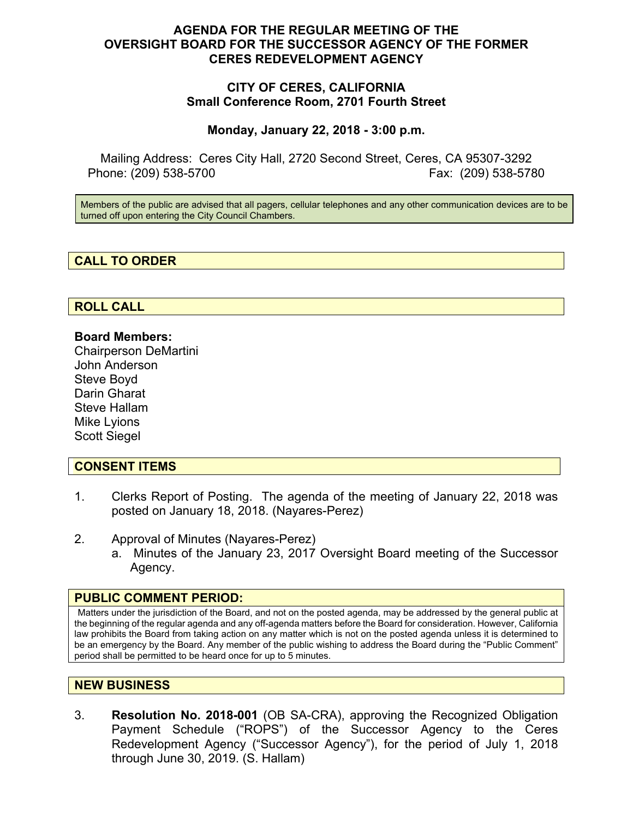# **AGENDA FOR THE REGULAR MEETING OF THE OVERSIGHT BOARD FOR THE SUCCESSOR AGENCY OF THE FORMER CERES REDEVELOPMENT AGENCY**

# **CITY OF CERES, CALIFORNIA Small Conference Room, 2701 Fourth Street**

### **Monday, January 22, 2018 - 3:00 p.m.**

Mailing Address: Ceres City Hall, 2720 Second Street, Ceres, CA 95307-3292 Phone: (209) 538-5700 Fax: (209) 538-5780

Members of the public are advised that all pagers, cellular telephones and any other communication devices are to be turned off upon entering the City Council Chambers.

# **CALL TO ORDER**

# **ROLL CALL**

### **Board Members:**

Chairperson DeMartini John Anderson Steve Boyd Darin Gharat Steve Hallam Mike Lyions Scott Siegel

### **CONSENT ITEMS**

- 1. Clerks Report of Posting. The agenda of the meeting of January 22, 2018 was posted on January 18, 2018. (Nayares-Perez)
- 2. Approval of Minutes (Nayares-Perez)
	- a. Minutes of the January 23, 2017 Oversight Board meeting of the Successor Agency.

#### **PUBLIC COMMENT PERIOD:**

Matters under the jurisdiction of the Board, and not on the posted agenda, may be addressed by the general public at the beginning of the regular agenda and any off-agenda matters before the Board for consideration. However, California law prohibits the Board from taking action on any matter which is not on the posted agenda unless it is determined to be an emergency by the Board. Any member of the public wishing to address the Board during the "Public Comment" period shall be permitted to be heard once for up to 5 minutes.

### **NEW BUSINESS**

3. **Resolution No. 2018-001** (OB SA-CRA), approving the Recognized Obligation Payment Schedule ("ROPS") of the Successor Agency to the Ceres Redevelopment Agency ("Successor Agency"), for the period of July 1, 2018 through June 30, 2019. (S. Hallam)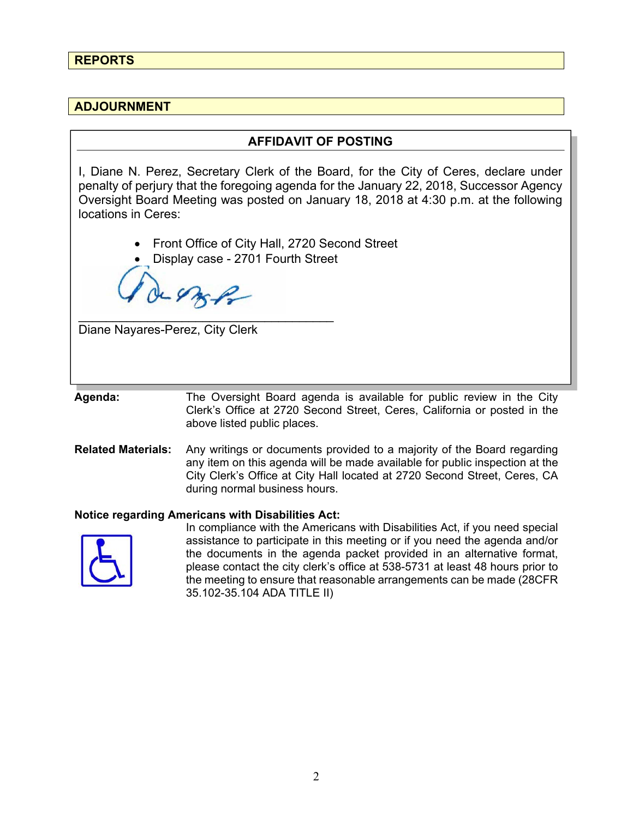# **REPORTS**

# **ADJOURNMENT**

### **AFFIDAVIT OF POSTING**

I, Diane N. Perez, Secretary Clerk of the Board, for the City of Ceres, declare under penalty of perjury that the foregoing agenda for the January 22, 2018, Successor Agency Oversight Board Meeting was posted on January 18, 2018 at 4:30 p.m. at the following locations in Ceres:

- Front Office of City Hall, 2720 Second Street
- Display case 2701 Fourth Street

48BB

\_\_\_\_\_\_\_\_\_\_\_\_\_\_\_\_\_\_\_\_\_\_\_\_\_\_\_\_\_\_\_\_\_\_\_\_\_

Diane Nayares-Perez, City Clerk

**Agenda:** The Oversight Board agenda is available for public review in the City Clerk's Office at 2720 Second Street, Ceres, California or posted in the above listed public places.

**Related Materials:** Any writings or documents provided to a majority of the Board regarding any item on this agenda will be made available for public inspection at the City Clerk's Office at City Hall located at 2720 Second Street, Ceres, CA during normal business hours.

#### **Notice regarding Americans with Disabilities Act:**



 In compliance with the Americans with Disabilities Act, if you need special assistance to participate in this meeting or if you need the agenda and/or the documents in the agenda packet provided in an alternative format, please contact the city clerk's office at 538-5731 at least 48 hours prior to the meeting to ensure that reasonable arrangements can be made (28CFR 35.102-35.104 ADA TITLE II)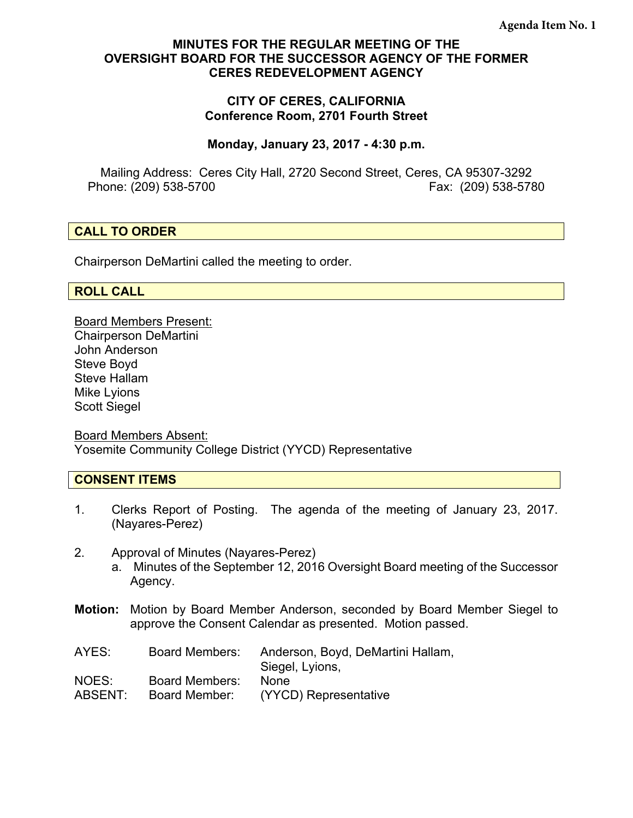# **MINUTES FOR THE REGULAR MEETING OF THE OVERSIGHT BOARD FOR THE SUCCESSOR AGENCY OF THE FORMER CERES REDEVELOPMENT AGENCY**

## **CITY OF CERES, CALIFORNIA Conference Room, 2701 Fourth Street**

### **Monday, January 23, 2017 - 4:30 p.m.**

Mailing Address: Ceres City Hall, 2720 Second Street, Ceres, CA 95307-3292 Phone: (209) 538-5700 Fax: (209) 538-5780

# **CALL TO ORDER**

Chairperson DeMartini called the meeting to order.

### **ROLL CALL**

Board Members Present: Chairperson DeMartini John Anderson Steve Boyd Steve Hallam Mike Lyions Scott Siegel

Board Members Absent: Yosemite Community College District (YYCD) Representative

# **CONSENT ITEMS**

- 1. Clerks Report of Posting. The agenda of the meeting of January 23, 2017. (Nayares-Perez)
- 2. Approval of Minutes (Nayares-Perez)
	- a. Minutes of the September 12, 2016 Oversight Board meeting of the Successor Agency.
- **Motion:** Motion by Board Member Anderson, seconded by Board Member Siegel to approve the Consent Calendar as presented. Motion passed.

| AYES:   | <b>Board Members:</b> | Anderson, Boyd, DeMartini Hallam,<br>Siegel, Lyions, |
|---------|-----------------------|------------------------------------------------------|
| NOES:   | <b>Board Members:</b> | <b>None</b>                                          |
| ABSENT: | Board Member:         | (YYCD) Representative                                |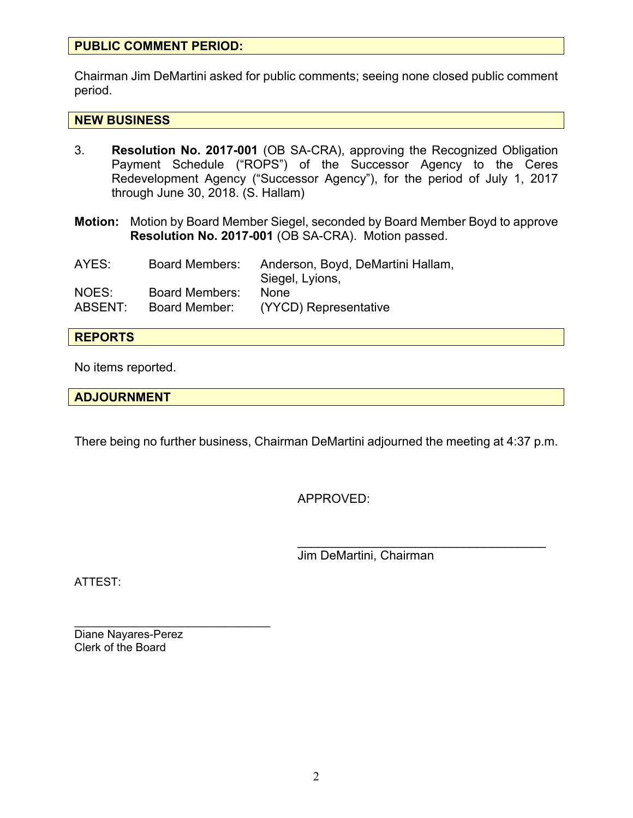# **PUBLIC COMMENT PERIOD:**

Chairman Jim DeMartini asked for public comments; seeing none closed public comment period.

### **NEW BUSINESS**

- 3. **Resolution No. 2017-001** (OB SA-CRA), approving the Recognized Obligation Payment Schedule ("ROPS") of the Successor Agency to the Ceres Redevelopment Agency ("Successor Agency"), for the period of July 1, 2017 through June 30, 2018. (S. Hallam)
- **Motion:** Motion by Board Member Siegel, seconded by Board Member Boyd to approve **Resolution No. 2017-001** (OB SA-CRA). Motion passed.

| AYES:   | <b>Board Members:</b> | Anderson, Boyd, DeMartini Hallam, |
|---------|-----------------------|-----------------------------------|
| NOES:   | <b>Board Members:</b> | Siegel, Lyions,<br><b>None</b>    |
| ABSENT: | Board Member:         | (YYCD) Representative             |

### **REPORTS**

No items reported.

### **ADJOURNMENT**

There being no further business, Chairman DeMartini adjourned the meeting at 4:37 p.m.

APPROVED:

Jim DeMartini, Chairman

 $\mathcal{L}_\text{max}$  , and the set of the set of the set of the set of the set of the set of the set of the set of the set of the set of the set of the set of the set of the set of the set of the set of the set of the set of the

ATTEST:

 $\mathcal{L}_\text{max}$  , where  $\mathcal{L}_\text{max}$  and  $\mathcal{L}_\text{max}$ Diane Nayares-Perez Clerk of the Board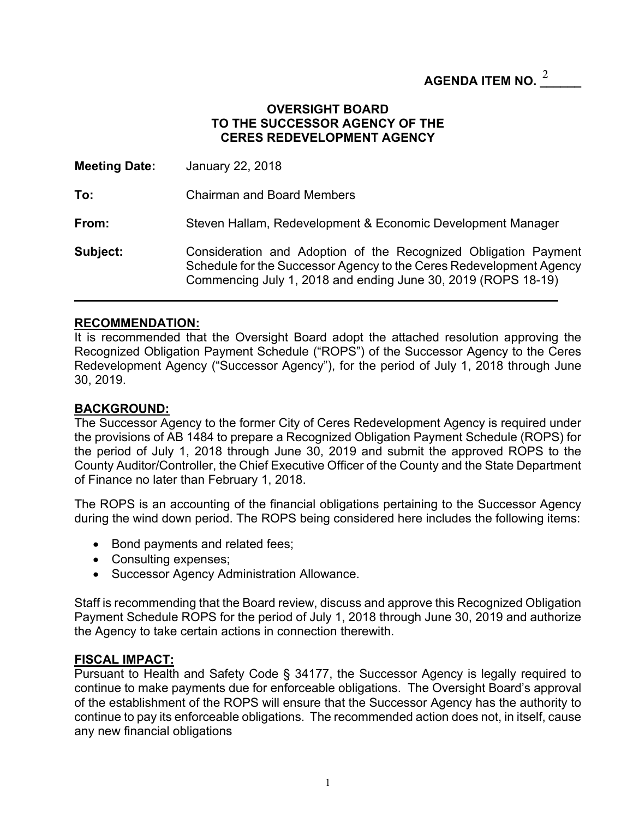# AGENDA ITEM NO.  $^{\underline{2}}$  \_\_\_\_\_\_

## **OVERSIGHT BOARD TO THE SUCCESSOR AGENCY OF THE CERES REDEVELOPMENT AGENCY**

| <b>Meeting Date:</b> | January 22, 2018                                                                                                                                                                                        |
|----------------------|---------------------------------------------------------------------------------------------------------------------------------------------------------------------------------------------------------|
| To:                  | <b>Chairman and Board Members</b>                                                                                                                                                                       |
| From:                | Steven Hallam, Redevelopment & Economic Development Manager                                                                                                                                             |
| Subject:             | Consideration and Adoption of the Recognized Obligation Payment<br>Schedule for the Successor Agency to the Ceres Redevelopment Agency<br>Commencing July 1, 2018 and ending June 30, 2019 (ROPS 18-19) |

### **RECOMMENDATION:**

It is recommended that the Oversight Board adopt the attached resolution approving the Recognized Obligation Payment Schedule ("ROPS") of the Successor Agency to the Ceres Redevelopment Agency ("Successor Agency"), for the period of July 1, 2018 through June 30, 2019.

### **BACKGROUND:**

The Successor Agency to the former City of Ceres Redevelopment Agency is required under the provisions of AB 1484 to prepare a Recognized Obligation Payment Schedule (ROPS) for the period of July 1, 2018 through June 30, 2019 and submit the approved ROPS to the County Auditor/Controller, the Chief Executive Officer of the County and the State Department of Finance no later than February 1, 2018.

The ROPS is an accounting of the financial obligations pertaining to the Successor Agency during the wind down period. The ROPS being considered here includes the following items:

- Bond payments and related fees;
- Consulting expenses;
- Successor Agency Administration Allowance.

Staff is recommending that the Board review, discuss and approve this Recognized Obligation Payment Schedule ROPS for the period of July 1, 2018 through June 30, 2019 and authorize the Agency to take certain actions in connection therewith.

### **FISCAL IMPACT:**

Pursuant to Health and Safety Code § 34177, the Successor Agency is legally required to continue to make payments due for enforceable obligations. The Oversight Board's approval of the establishment of the ROPS will ensure that the Successor Agency has the authority to continue to pay its enforceable obligations. The recommended action does not, in itself, cause any new financial obligations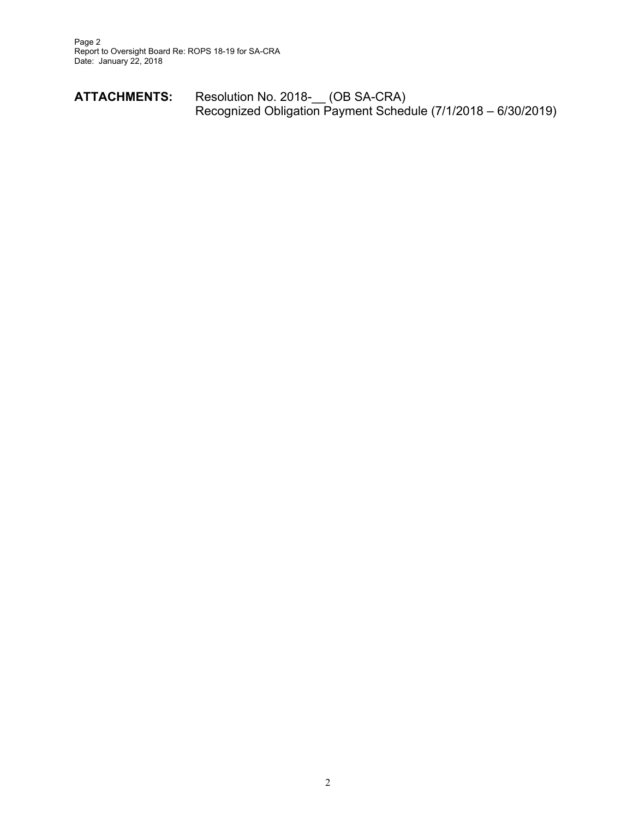| <b>ATTACHMENTS:</b> | Resolution No. 2018- (OB SA-CRA) |                                                               |
|---------------------|----------------------------------|---------------------------------------------------------------|
|                     |                                  | Recognized Obligation Payment Schedule (7/1/2018 – 6/30/2019) |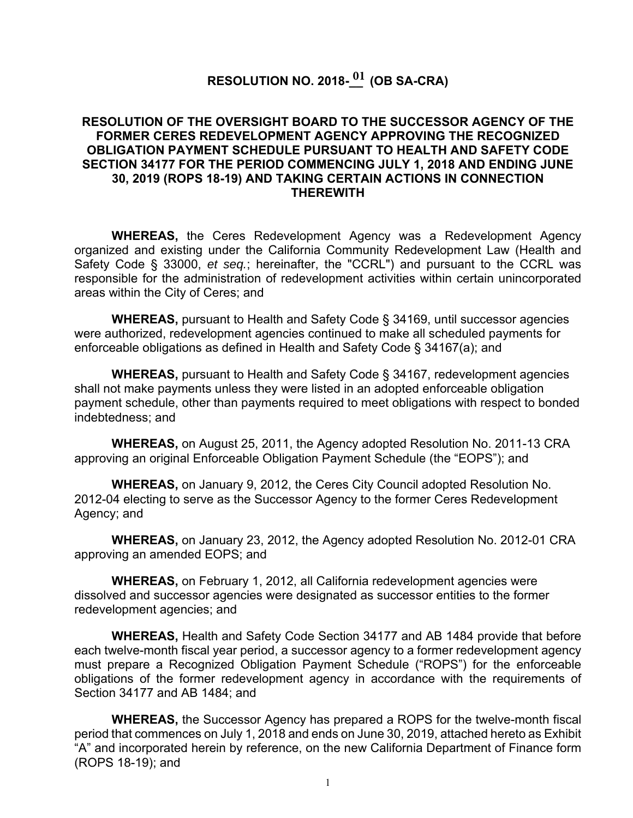# $RESOLUTION NO. 2018- $\frac{01}{10}$  (OB SA-CRA)$

## **RESOLUTION OF THE OVERSIGHT BOARD TO THE SUCCESSOR AGENCY OF THE FORMER CERES REDEVELOPMENT AGENCY APPROVING THE RECOGNIZED OBLIGATION PAYMENT SCHEDULE PURSUANT TO HEALTH AND SAFETY CODE SECTION 34177 FOR THE PERIOD COMMENCING JULY 1, 2018 AND ENDING JUNE 30, 2019 (ROPS 18-19) AND TAKING CERTAIN ACTIONS IN CONNECTION THEREWITH**

**WHEREAS,** the Ceres Redevelopment Agency was a Redevelopment Agency organized and existing under the California Community Redevelopment Law (Health and Safety Code § 33000, *et seq.*; hereinafter, the "CCRL") and pursuant to the CCRL was responsible for the administration of redevelopment activities within certain unincorporated areas within the City of Ceres; and

**WHEREAS,** pursuant to Health and Safety Code § 34169, until successor agencies were authorized, redevelopment agencies continued to make all scheduled payments for enforceable obligations as defined in Health and Safety Code § 34167(a); and

**WHEREAS,** pursuant to Health and Safety Code § 34167, redevelopment agencies shall not make payments unless they were listed in an adopted enforceable obligation payment schedule, other than payments required to meet obligations with respect to bonded indebtedness; and

**WHEREAS,** on August 25, 2011, the Agency adopted Resolution No. 2011-13 CRA approving an original Enforceable Obligation Payment Schedule (the "EOPS"); and

**WHEREAS,** on January 9, 2012, the Ceres City Council adopted Resolution No. 2012-04 electing to serve as the Successor Agency to the former Ceres Redevelopment Agency; and

**WHEREAS,** on January 23, 2012, the Agency adopted Resolution No. 2012-01 CRA approving an amended EOPS; and

**WHEREAS,** on February 1, 2012, all California redevelopment agencies were dissolved and successor agencies were designated as successor entities to the former redevelopment agencies; and

**WHEREAS,** Health and Safety Code Section 34177 and AB 1484 provide that before each twelve-month fiscal year period, a successor agency to a former redevelopment agency must prepare a Recognized Obligation Payment Schedule ("ROPS") for the enforceable obligations of the former redevelopment agency in accordance with the requirements of Section 34177 and AB 1484; and

**WHEREAS,** the Successor Agency has prepared a ROPS for the twelve-month fiscal period that commences on July 1, 2018 and ends on June 30, 2019, attached hereto as Exhibit "A" and incorporated herein by reference, on the new California Department of Finance form (ROPS 18-19); and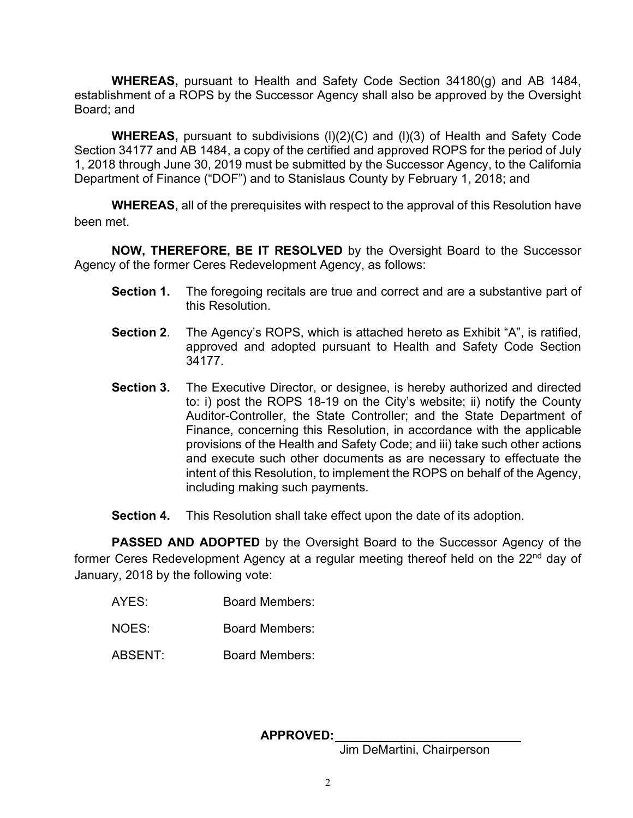**WHEREAS,** pursuant to Health and Safety Code Section 34180(g) and AB 1484, establishment of a ROPS by the Successor Agency shall also be approved by the Oversight Board; and

**WHEREAS,** pursuant to subdivisions (l)(2)(C) and (l)(3) of Health and Safety Code Section 34177 and AB 1484, a copy of the certified and approved ROPS for the period of July 1, 2018 through June 30, 2019 must be submitted by the Successor Agency, to the California Department of Finance ("DOF") and to Stanislaus County by February 1, 2018; and

**WHEREAS,** all of the prerequisites with respect to the approval of this Resolution have been met.

**NOW, THEREFORE, BE IT RESOLVED** by the Oversight Board to the Successor Agency of the former Ceres Redevelopment Agency, as follows:

- **Section 1.** The foregoing recitals are true and correct and are a substantive part of this Resolution.
- **Section 2**. The Agency's ROPS, which is attached hereto as Exhibit "A", is ratified, approved and adopted pursuant to Health and Safety Code Section 34177.
- **Section 3.** The Executive Director, or designee, is hereby authorized and directed to: i) post the ROPS 18-19 on the City's website; ii) notify the County Auditor-Controller, the State Controller; and the State Department of Finance, concerning this Resolution, in accordance with the applicable provisions of the Health and Safety Code; and iii) take such other actions and execute such other documents as are necessary to effectuate the intent of this Resolution, to implement the ROPS on behalf of the Agency, including making such payments.
- **Section 4.** This Resolution shall take effect upon the date of its adoption.

**PASSED AND ADOPTED** by the Oversight Board to the Successor Agency of the former Ceres Redevelopment Agency at a regular meeting thereof held on the 22<sup>nd</sup> day of January, 2018 by the following vote:

- AYES: Board Members:
- NOES: Board Members:
- ABSENT: Board Members:

### **APPROVED:**

Jim DeMartini, Chairperson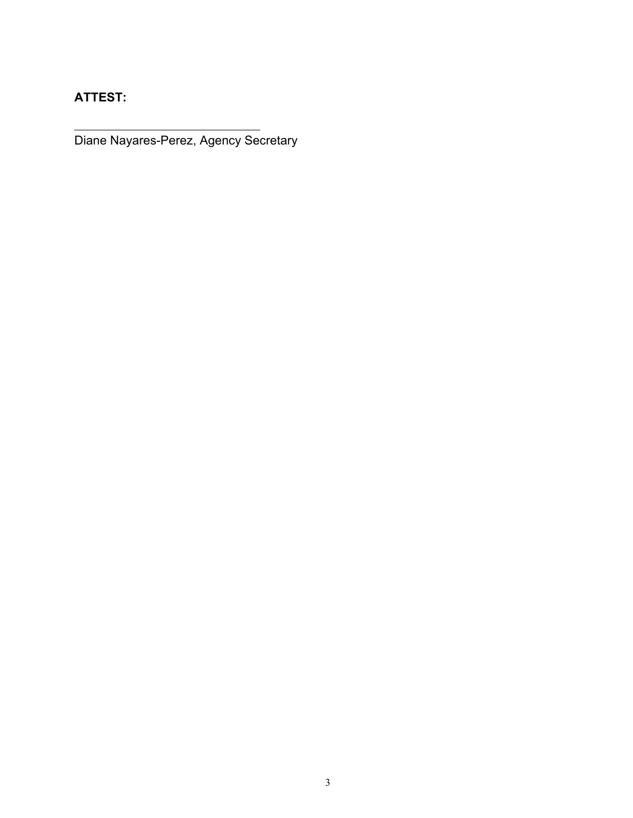**ATTEST:**

l

Diane Nayares-Perez, Agency Secretary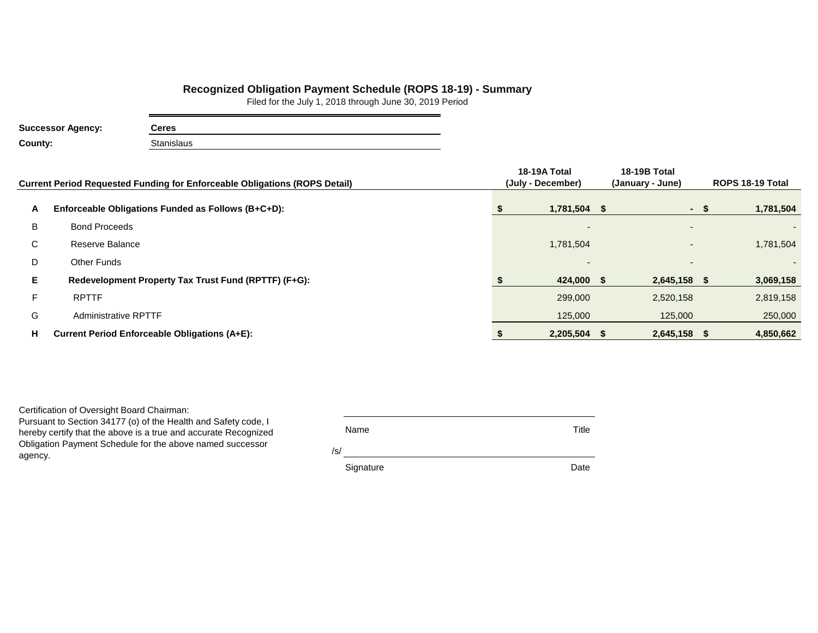### **Recognized Obligation Payment Schedule (ROPS 18-19) - Summary**

Filed for the July 1, 2018 through June 30, 2019 Period

| <b>Successor Agency:</b> | Ceres      |
|--------------------------|------------|
| County:                  | Stanislaus |

|    | <b>Current Period Requested Funding for Enforceable Obligations (ROPS Detail)</b> | 18-19A Total<br>(July - December) | <b>18-19B Total</b><br>(January - June) | ROPS 18-19 Total |           |  |
|----|-----------------------------------------------------------------------------------|-----------------------------------|-----------------------------------------|------------------|-----------|--|
| A  | Enforceable Obligations Funded as Follows (B+C+D):                                | $1,781,504$ \$                    | $\sim$                                  |                  | 1,781,504 |  |
| B  | <b>Bond Proceeds</b>                                                              | $\overline{\phantom{a}}$          |                                         |                  |           |  |
| C  | Reserve Balance                                                                   | 1,781,504                         | $\overline{\phantom{0}}$                |                  | 1,781,504 |  |
| D  | Other Funds                                                                       | $\overline{\phantom{0}}$          |                                         |                  |           |  |
| Е  | Redevelopment Property Tax Trust Fund (RPTTF) (F+G):                              | 424,000 \$                        | $2,645,158$ \$                          |                  | 3,069,158 |  |
| F. | <b>RPTTF</b>                                                                      | 299,000                           | 2,520,158                               |                  | 2,819,158 |  |
| G  | <b>Administrative RPTTF</b>                                                       | 125,000                           | 125,000                                 |                  | 250,000   |  |
| н  | <b>Current Period Enforceable Obligations (A+E):</b>                              | 2,205,504 \$                      | $2,645,158$ \$                          |                  | 4,850,662 |  |

Certification of Oversight Board Chairman:

Pursuant to Section 34177 (o) of the Health and Safety code, I hereby certify that the above is a true and accurate Recognized Obligation Payment Schedule for the above named successor agency.

|     | Name      | Title |
|-----|-----------|-------|
| /s/ |           |       |
|     | Signature | Date  |

 **18-19A Total**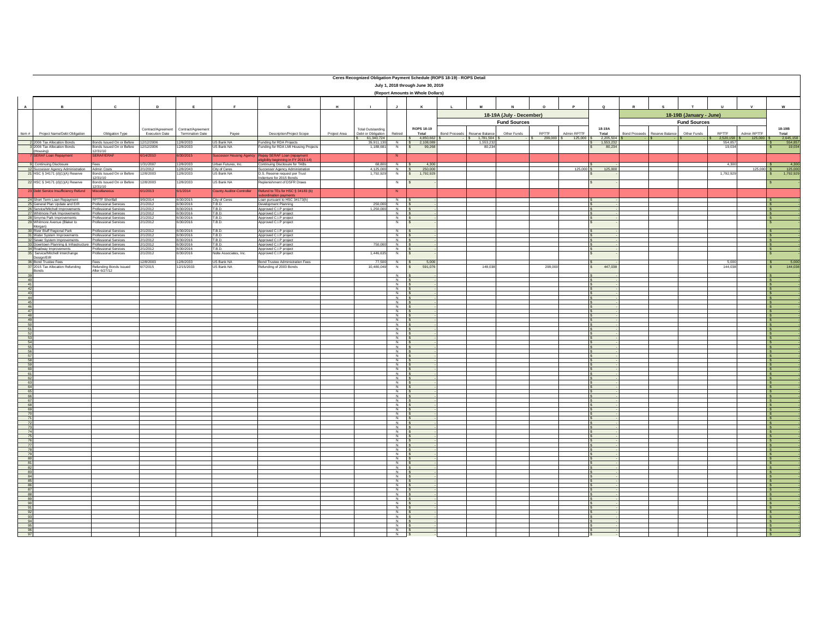|                                                                                   | Ceres Recognized Obligation Payment Schedule (ROPS 18-19) - ROPS Detail<br>July 1, 2018 through June 30, 2019 |                                                                              |                       |                         |                                  |                                                                                                       |              |                                        |                                  |                                       |                      |                                        |                              |                     |                             |                    |                      |                          |                     |                                              |                      |
|-----------------------------------------------------------------------------------|---------------------------------------------------------------------------------------------------------------|------------------------------------------------------------------------------|-----------------------|-------------------------|----------------------------------|-------------------------------------------------------------------------------------------------------|--------------|----------------------------------------|----------------------------------|---------------------------------------|----------------------|----------------------------------------|------------------------------|---------------------|-----------------------------|--------------------|----------------------|--------------------------|---------------------|----------------------------------------------|----------------------|
|                                                                                   |                                                                                                               |                                                                              |                       |                         |                                  |                                                                                                       |              |                                        |                                  | (Report Amounts in Whole Dollars)     |                      |                                        |                              |                     |                             |                    |                      |                          |                     |                                              |                      |
| $\mathbf{A}$                                                                      |                                                                                                               | G<br>$\mathbf{M}$<br>c<br>D<br>E<br>F<br>H<br>J                              |                       |                         |                                  | 18-19A (July - December)                                                                              | $\Omega$     | P                                      | $\mathbf Q$                      |                                       |                      | 18-19B (January - June)                | $\mathbf{u}$<br>$\mathsf{v}$ | w                   |                             |                    |                      |                          |                     |                                              |                      |
|                                                                                   |                                                                                                               |                                                                              | Contract/Agreement    | Contract/Agreement      |                                  |                                                                                                       |              | <b>Total Outstanding</b>               |                                  | ROPS 18-19                            |                      |                                        | <b>Fund Sources</b>          |                     |                             | 18-19A             |                      |                          | <b>Fund Sources</b> |                                              | 18-19B               |
| Item #                                                                            | Project Name/Debt Obligation                                                                                  | Obligation Type                                                              | Execution Date        | <b>Termination Date</b> | Payee                            | Description/Project Scope                                                                             | Project Area | Debt or Obligation<br>61,340,724<br>s. | Retired                          | Total<br>4,850,662 \$<br>$\mathsf{S}$ | <b>Bond Proceeds</b> | Reserve Balance<br>$-$ \$ 1,781,504 \$ | Other Funds<br>- IS-         | RPTTF<br>299,000 \$ | Admin RPTTF<br>$125,000$ \$ | Total<br>2,205,504 | <b>Bond Proceeds</b> | Reserve Balance<br>. IS. | Other Funds         | RPTTF<br>Admin RPTTF<br>2,520,158<br>125,000 | Total<br>2,645,158   |
|                                                                                   | 2 2006 Tax Allocation Bonds<br>3 2006 Tax Allocation Bonds                                                    | Bonds Issued On or Before 12/12/2006<br>Bonds Issued On or Before 12/12/2006 |                       | 12/8/2033<br>12/8/2033  | US Bank NA                       | Funding for RDA Projects<br>Funding for RDA LMI Housing Projects                                      |              | 39.911.130<br>1,188,681                | $\frac{N}{N}$                    | 2.108.089<br>99,268<br>IS.            |                      | 1.553.232<br>80,23                     |                              |                     |                             | 1.553.232<br>80,23 |                      |                          |                     | 554.857<br>19,034                            | 554.857              |
|                                                                                   | (Housing)<br>7 SERAF Loan Repayment                                                                           | 12/31/10<br><b>SERAF/ERAI</b>                                                | 6/14/2010             | 6/30/2015               | <b>Successor Housing Agene</b>   |                                                                                                       |              |                                        | N                                |                                       |                      |                                        |                              |                     |                             |                    |                      |                          |                     |                                              |                      |
|                                                                                   | 9 Continuing Disclosure                                                                                       | Fees                                                                         | 1/31/2007             | 12/8/2033               | Urban Futures, Inc.              | Repay SERAF Loan (repayment<br>eligibility beginning in FY 2013-14)<br>Continuing Disclosure for TABs |              | 68,800                                 | N                                | 4,300                                 |                      |                                        |                              |                     |                             |                    |                      |                          |                     | 4,30                                         | 4,300                |
|                                                                                   | 12 Successor Agency Administration<br>21 HSC § 34171 (d)(1)(A) Reserve                                        | Admin Costs<br>Bonds Issued On or Before                                     | 2/1/2012<br>12/8/2003 | 12/8/2043<br>12/8/2033  | City of Ceres<br>US Bank NA      | Successor Agency Administration                                                                       |              | 4,125,000<br>1,792,929                 | $\overline{N}$<br>N              | 250,000<br>1,792,929                  |                      |                                        |                              |                     | 125,000 \$                  | 125,000            |                      |                          |                     | $125,000$ \$<br>1,792,92                     | 125,000<br>1,792,929 |
|                                                                                   |                                                                                                               | 12/31/10                                                                     |                       |                         |                                  | D.S. Reserve request per Trust<br>Indenture for 2015 Bonds                                            |              |                                        |                                  |                                       |                      |                                        |                              |                     |                             |                    |                      |                          |                     |                                              |                      |
|                                                                                   | 22 HSC § 34171 (d)(1)(A) Reserve<br>23 Debt Service Insufficiency Refund                                      | Bonds Issued On or Before<br>12/31/10                                        | 12/8/2003<br>6/1/2013 | 12/8/2033<br>6/1/2014   | US Bank NA                       | eplenishment of DSFR Draws<br>Refund to TEs for HSC § 34183 (b)                                       |              |                                        | N                                |                                       |                      |                                        |                              |                     |                             |                    |                      |                          |                     |                                              |                      |
|                                                                                   |                                                                                                               | iscellaneous                                                                 |                       |                         | <b>County Auditor-Controller</b> | bordination payments                                                                                  |              |                                        | ${\sf N}$                        |                                       |                      |                                        |                              |                     |                             |                    |                      |                          |                     |                                              |                      |
|                                                                                   | 24 Short Term Loan Repayment<br>25 General Plan Update and EIR                                                | <b>RPTTF Shortfall</b><br>Professional Services                              | 9/9/2014<br>2/1/2012  | 6/30/2015<br>6/30/2016  | City of Ceres<br>T.B.D.          | Loan pursuant to HSC 34173(h)<br>Development Planning                                                 |              | 250,000                                | $\overline{N}$<br>N              |                                       |                      |                                        |                              |                     |                             |                    |                      |                          |                     |                                              |                      |
|                                                                                   | 26 Service/Mitchell Improvements<br>27 Whitmore Park Improvements                                             | Professional Services<br>Professional Services                               | 2/1/2012<br>2/1/2012  | 6/30/2016<br>6/30/2016  | T.B.D.<br>T.B.D.                 | Approved C.I.P project<br>Approved C.I.P project                                                      |              | 1,250,000                              | N<br>N                           |                                       |                      |                                        |                              |                     |                             |                    |                      |                          |                     |                                              | $\sim$               |
|                                                                                   | 28 Smyrna Park Improvements<br>29 Whitmore Avenue (Blaker to<br>Morgan)                                       | Professional Services<br>Professional Services                               | 2/1/2012<br>2/1/2012  | 6/30/2016<br>6/30/2016  | T.B.D.<br>T.B.D.                 | Approved C.I.P project<br>Approved C.I.P project                                                      |              |                                        | N<br>N                           |                                       |                      |                                        |                              |                     |                             |                    |                      |                          |                     |                                              |                      |
|                                                                                   | 30 River Bluff Regional Park                                                                                  | Professional Services                                                        | 2/1/2012              | 6/30/2016               | T.B.D.                           | Approved C.I.P project                                                                                |              |                                        | N                                |                                       |                      |                                        |                              |                     |                             |                    |                      |                          |                     |                                              |                      |
|                                                                                   | 31 Water System Improvements<br>32 Sewer System Improvements                                                  | Professional Services<br>Professional Services                               | 2/1/2012<br>2/1/2012  | 6/30/2016<br>6/30/2016  | T.B.D.<br>T.B.D.                 | Approved C.I.P project<br>Approved C.I.P project                                                      |              |                                        | $\overline{N}$<br>N              |                                       |                      |                                        |                              |                     |                             |                    |                      |                          |                     |                                              |                      |
|                                                                                   | 33 Downtown Planning & Infrastructure Professional Services                                                   | Professional Services                                                        | 2/1/2012              | 6/30/2016               | T.B.D.<br>T.B.D.                 | Approved C.I.P project                                                                                |              | 750,000                                | N<br>N                           |                                       |                      |                                        |                              |                     |                             |                    |                      |                          |                     |                                              |                      |
|                                                                                   | 34 Roadway Improvements<br>35 Service/Mitchell Interchange<br>Design/EIR                                      | Professional Services                                                        | 2/1/2012<br>2/1/2012  | 6/30/2016<br>6/30/2016  | Nolte Associates, Inc.           | Approved C.I.P project<br>Approved C.I.P project                                                      |              | 1.446.635                              | N                                |                                       |                      |                                        |                              |                     |                             |                    |                      |                          |                     |                                              |                      |
|                                                                                   | 36 Bond Trustee Fees<br>37 2015 Tax Allocation Refunding                                                      | Fees<br>Refunding Bonds Issued                                               | 12/8/2003<br>6/7/2015 | 12/8/2033<br>2/15/2033  | US Bank NA<br>US Bank NA         | Bond Trustee Administration Fees<br>lefunding of 2003 Bonds                                           |              | 77,500<br>10,480,049                   | $N$ $S$<br>z                     | 5,000<br>591,076                      |                      | 148,038                                |                              | 299,00              |                             | 447,038            |                      |                          |                     | 5,000<br>144,03                              | 5,000<br>144,038     |
|                                                                                   | Bonds                                                                                                         | After 6/27/12                                                                |                       |                         |                                  |                                                                                                       |              |                                        |                                  |                                       |                      |                                        |                              |                     |                             |                    |                      |                          |                     |                                              |                      |
| $\begin{array}{r} 40 \\ 41 \end{array}$                                           | 39                                                                                                            |                                                                              |                       |                         |                                  |                                                                                                       |              |                                        | N<br>N                           |                                       |                      |                                        |                              |                     |                             |                    |                      |                          |                     |                                              |                      |
|                                                                                   |                                                                                                               |                                                                              |                       |                         |                                  |                                                                                                       |              |                                        | N<br>N                           |                                       |                      |                                        |                              |                     |                             |                    |                      |                          |                     |                                              |                      |
| $\begin{array}{r} 42 \\ 43 \end{array}$                                           |                                                                                                               |                                                                              |                       |                         |                                  |                                                                                                       |              |                                        | N<br>N                           |                                       |                      |                                        |                              |                     |                             |                    |                      |                          |                     |                                              |                      |
| $\begin{array}{r} 44 \\ \hline 45 \\ \hline 46 \end{array}$                       |                                                                                                               |                                                                              |                       |                         |                                  |                                                                                                       |              |                                        | $\overline{N}$<br>$\overline{N}$ |                                       |                      |                                        |                              |                     |                             |                    |                      |                          |                     |                                              |                      |
| 47                                                                                |                                                                                                               |                                                                              |                       |                         |                                  |                                                                                                       |              |                                        | $N$ $S$                          |                                       |                      |                                        |                              |                     |                             |                    |                      |                          |                     | $\sim$                                       |                      |
| 48                                                                                |                                                                                                               |                                                                              |                       |                         |                                  |                                                                                                       |              |                                        | N<br>N                           |                                       |                      |                                        |                              |                     |                             |                    |                      |                          |                     |                                              |                      |
|                                                                                   |                                                                                                               |                                                                              |                       |                         |                                  |                                                                                                       |              |                                        | $N$ s<br>N                       |                                       |                      |                                        |                              |                     |                             |                    |                      |                          |                     | Ιs                                           |                      |
| 449<br>49<br>55<br>55<br>55<br>55<br>55<br>55<br>55<br>55<br>55<br>55<br>55<br>55 |                                                                                                               |                                                                              |                       |                         |                                  |                                                                                                       |              |                                        | N<br>$\overline{N}$              |                                       |                      |                                        |                              |                     |                             |                    |                      |                          |                     |                                              |                      |
|                                                                                   |                                                                                                               |                                                                              |                       |                         |                                  |                                                                                                       |              |                                        | $\overline{N}$<br>N              |                                       |                      |                                        |                              |                     |                             |                    |                      |                          |                     |                                              |                      |
|                                                                                   |                                                                                                               |                                                                              |                       |                         |                                  |                                                                                                       |              |                                        | $\frac{N}{N}$                    |                                       |                      |                                        |                              |                     |                             |                    |                      |                          |                     |                                              |                      |
|                                                                                   |                                                                                                               |                                                                              |                       |                         |                                  |                                                                                                       |              |                                        | N                                |                                       |                      |                                        |                              |                     |                             |                    |                      |                          |                     |                                              |                      |
|                                                                                   |                                                                                                               |                                                                              |                       |                         |                                  |                                                                                                       |              |                                        | N<br>N                           |                                       |                      |                                        |                              |                     |                             |                    |                      |                          |                     |                                              |                      |
| 58<br>59<br>59<br>60<br>62<br>63<br>63<br>64                                      |                                                                                                               |                                                                              |                       |                         |                                  |                                                                                                       |              |                                        | N<br>$\overline{N}$              |                                       |                      |                                        |                              |                     |                             |                    |                      |                          |                     | Ι\$                                          |                      |
|                                                                                   |                                                                                                               |                                                                              |                       |                         |                                  |                                                                                                       |              |                                        | N<br>$N$ $S$                     |                                       |                      |                                        |                              |                     |                             |                    |                      |                          |                     |                                              | $\sim$               |
|                                                                                   |                                                                                                               |                                                                              |                       |                         |                                  |                                                                                                       |              |                                        | N                                |                                       |                      |                                        |                              |                     |                             |                    |                      |                          |                     |                                              |                      |
|                                                                                   |                                                                                                               |                                                                              |                       |                         |                                  |                                                                                                       |              |                                        | N<br>N                           |                                       |                      |                                        |                              |                     |                             |                    |                      |                          |                     |                                              |                      |
|                                                                                   |                                                                                                               |                                                                              |                       |                         |                                  |                                                                                                       |              |                                        | $N$ $S$<br>$\overline{N}$        |                                       |                      |                                        |                              |                     |                             |                    |                      |                          |                     | ΙS                                           |                      |
|                                                                                   |                                                                                                               |                                                                              |                       |                         |                                  |                                                                                                       |              |                                        | N<br>$\overline{N}$              |                                       |                      |                                        |                              |                     |                             |                    |                      |                          |                     |                                              |                      |
|                                                                                   |                                                                                                               |                                                                              |                       |                         |                                  |                                                                                                       |              |                                        | N<br>N                           |                                       |                      |                                        |                              |                     |                             |                    |                      |                          |                     |                                              |                      |
|                                                                                   |                                                                                                               |                                                                              |                       |                         |                                  |                                                                                                       |              |                                        | N                                |                                       |                      |                                        |                              |                     |                             |                    |                      |                          |                     |                                              |                      |
|                                                                                   |                                                                                                               |                                                                              |                       |                         |                                  |                                                                                                       |              |                                        | $\frac{N}{N}$                    |                                       |                      |                                        |                              |                     |                             |                    |                      |                          |                     |                                              |                      |
|                                                                                   |                                                                                                               |                                                                              |                       |                         |                                  |                                                                                                       |              |                                        | N<br>N                           |                                       |                      |                                        |                              |                     |                             |                    |                      |                          |                     |                                              |                      |
|                                                                                   |                                                                                                               |                                                                              |                       |                         |                                  |                                                                                                       |              |                                        | $\overline{N}$<br>N              |                                       |                      |                                        |                              |                     |                             |                    |                      |                          |                     |                                              |                      |
|                                                                                   |                                                                                                               |                                                                              |                       |                         |                                  |                                                                                                       |              |                                        | $N$ $S$                          |                                       |                      |                                        |                              |                     |                             |                    |                      |                          |                     | $\sim$                                       |                      |
| 82                                                                                |                                                                                                               |                                                                              |                       |                         |                                  |                                                                                                       |              |                                        | N<br>N                           |                                       |                      |                                        |                              |                     |                             |                    |                      |                          |                     |                                              |                      |
|                                                                                   |                                                                                                               |                                                                              |                       |                         |                                  |                                                                                                       |              |                                        | N<br>N                           |                                       |                      |                                        |                              |                     |                             |                    |                      |                          |                     | Ιs                                           |                      |
|                                                                                   |                                                                                                               |                                                                              |                       |                         |                                  |                                                                                                       |              |                                        | N<br>$\overline{N}$              |                                       |                      |                                        |                              |                     |                             |                    |                      |                          |                     | ۱s                                           |                      |
|                                                                                   |                                                                                                               |                                                                              |                       |                         |                                  |                                                                                                       |              |                                        | N<br>N                           |                                       |                      |                                        |                              |                     |                             |                    |                      |                          |                     |                                              |                      |
|                                                                                   |                                                                                                               |                                                                              |                       |                         |                                  |                                                                                                       |              |                                        | N<br>N                           |                                       |                      |                                        |                              |                     |                             |                    |                      |                          |                     |                                              | $\sim$               |
|                                                                                   |                                                                                                               |                                                                              |                       |                         |                                  |                                                                                                       |              |                                        | N                                |                                       |                      |                                        |                              |                     |                             |                    |                      |                          |                     |                                              |                      |
|                                                                                   |                                                                                                               |                                                                              |                       |                         |                                  |                                                                                                       |              |                                        | N<br>N                           |                                       |                      |                                        |                              |                     |                             |                    |                      |                          |                     |                                              |                      |
|                                                                                   |                                                                                                               |                                                                              |                       |                         |                                  |                                                                                                       |              |                                        | $\overline{N}$<br>$N$ $S$        |                                       |                      |                                        |                              |                     |                             |                    |                      |                          |                     |                                              |                      |
|                                                                                   |                                                                                                               |                                                                              |                       |                         |                                  |                                                                                                       |              |                                        | N                                | $\mathsf{s}$                          |                      |                                        |                              |                     |                             |                    |                      |                          |                     |                                              |                      |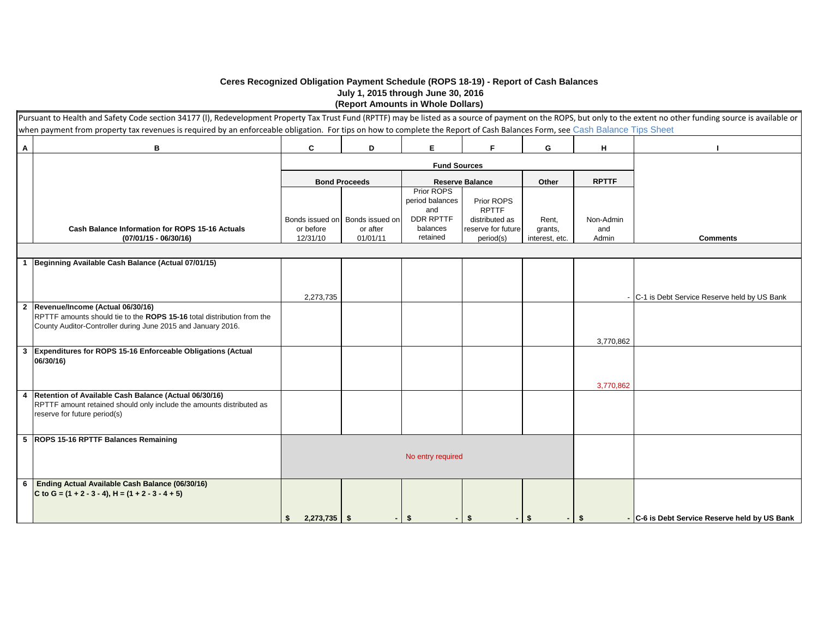## **Ceres Recognized Obligation Payment Schedule (ROPS 18-19) - Report of Cash Balances July 1, 2015 through June 30, 2016**

**(Report Amounts in Whole Dollars)**

|                         | Pursuant to Health and Safety Code section 34177 (I), Redevelopment Property Tax Trust Fund (RPTTF) may be listed as a source of payment on the ROPS, but only to the extent no other funding source is available or<br>when payment from property tax revenues is required by an enforceable obligation. For tips on how to complete the Report of Cash Balances Form, see Cash Balance Tips Sheet |                      |                                             |                                      |                                      |                  |                  |                                               |
|-------------------------|-----------------------------------------------------------------------------------------------------------------------------------------------------------------------------------------------------------------------------------------------------------------------------------------------------------------------------------------------------------------------------------------------------|----------------------|---------------------------------------------|--------------------------------------|--------------------------------------|------------------|------------------|-----------------------------------------------|
| $\mathbf{A}$            | В                                                                                                                                                                                                                                                                                                                                                                                                   | C                    | D                                           | Е                                    | F.                                   | G                | н                |                                               |
|                         |                                                                                                                                                                                                                                                                                                                                                                                                     |                      |                                             | <b>Fund Sources</b>                  |                                      |                  |                  |                                               |
|                         |                                                                                                                                                                                                                                                                                                                                                                                                     |                      | <b>Bond Proceeds</b>                        |                                      | <b>Reserve Balance</b>               | Other            | <b>RPTTF</b>     |                                               |
|                         |                                                                                                                                                                                                                                                                                                                                                                                                     |                      |                                             | Prior ROPS<br>period balances<br>and | Prior ROPS<br><b>RPTTF</b>           |                  |                  |                                               |
|                         | Cash Balance Information for ROPS 15-16 Actuals                                                                                                                                                                                                                                                                                                                                                     | or before            | Bonds issued on Bonds issued on<br>or after | DDR RPTTF<br>balances                | distributed as<br>reserve for future | Rent,<br>grants, | Non-Admin<br>and |                                               |
|                         | $(07/01/15 - 06/30/16)$                                                                                                                                                                                                                                                                                                                                                                             | 12/31/10             | 01/01/11                                    | retained                             | period(s)                            | interest, etc.   | Admin            | <b>Comments</b>                               |
|                         |                                                                                                                                                                                                                                                                                                                                                                                                     |                      |                                             |                                      |                                      |                  |                  |                                               |
| $\overline{1}$          | Beginning Available Cash Balance (Actual 07/01/15)                                                                                                                                                                                                                                                                                                                                                  |                      |                                             |                                      |                                      |                  |                  |                                               |
|                         |                                                                                                                                                                                                                                                                                                                                                                                                     |                      |                                             |                                      |                                      |                  |                  |                                               |
|                         |                                                                                                                                                                                                                                                                                                                                                                                                     | 2,273,735            |                                             |                                      |                                      |                  |                  | - C-1 is Debt Service Reserve held by US Bank |
| $\overline{2}$          | Revenue/Income (Actual 06/30/16)                                                                                                                                                                                                                                                                                                                                                                    |                      |                                             |                                      |                                      |                  |                  |                                               |
|                         | RPTTF amounts should tie to the ROPS 15-16 total distribution from the<br>County Auditor-Controller during June 2015 and January 2016.                                                                                                                                                                                                                                                              |                      |                                             |                                      |                                      |                  |                  |                                               |
|                         |                                                                                                                                                                                                                                                                                                                                                                                                     |                      |                                             |                                      |                                      |                  | 3,770,862        |                                               |
| $\overline{\mathbf{3}}$ | Expenditures for ROPS 15-16 Enforceable Obligations (Actual                                                                                                                                                                                                                                                                                                                                         |                      |                                             |                                      |                                      |                  |                  |                                               |
|                         | 06/30/16)                                                                                                                                                                                                                                                                                                                                                                                           |                      |                                             |                                      |                                      |                  |                  |                                               |
|                         |                                                                                                                                                                                                                                                                                                                                                                                                     |                      |                                             |                                      |                                      |                  |                  |                                               |
| $\overline{4}$          | Retention of Available Cash Balance (Actual 06/30/16)                                                                                                                                                                                                                                                                                                                                               |                      |                                             |                                      |                                      |                  | 3.770.862        |                                               |
|                         | RPTTF amount retained should only include the amounts distributed as                                                                                                                                                                                                                                                                                                                                |                      |                                             |                                      |                                      |                  |                  |                                               |
|                         | reserve for future period(s)                                                                                                                                                                                                                                                                                                                                                                        |                      |                                             |                                      |                                      |                  |                  |                                               |
|                         | 5 ROPS 15-16 RPTTF Balances Remaining                                                                                                                                                                                                                                                                                                                                                               |                      |                                             |                                      |                                      |                  |                  |                                               |
|                         |                                                                                                                                                                                                                                                                                                                                                                                                     |                      |                                             | No entry required                    |                                      |                  |                  |                                               |
|                         |                                                                                                                                                                                                                                                                                                                                                                                                     |                      |                                             |                                      |                                      |                  |                  |                                               |
| 6                       | Ending Actual Available Cash Balance (06/30/16)                                                                                                                                                                                                                                                                                                                                                     |                      |                                             |                                      |                                      |                  |                  |                                               |
|                         | C to G = $(1 + 2 - 3 - 4)$ , H = $(1 + 2 - 3 - 4 + 5)$                                                                                                                                                                                                                                                                                                                                              |                      |                                             |                                      |                                      |                  |                  |                                               |
|                         |                                                                                                                                                                                                                                                                                                                                                                                                     |                      |                                             |                                      |                                      |                  |                  |                                               |
|                         |                                                                                                                                                                                                                                                                                                                                                                                                     | $2,273,735$ \$<br>\$ |                                             | - \$                                 | -\$<br>÷.                            | -\$<br>- 1       | -\$              | - C-6 is Debt Service Reserve held by US Bank |